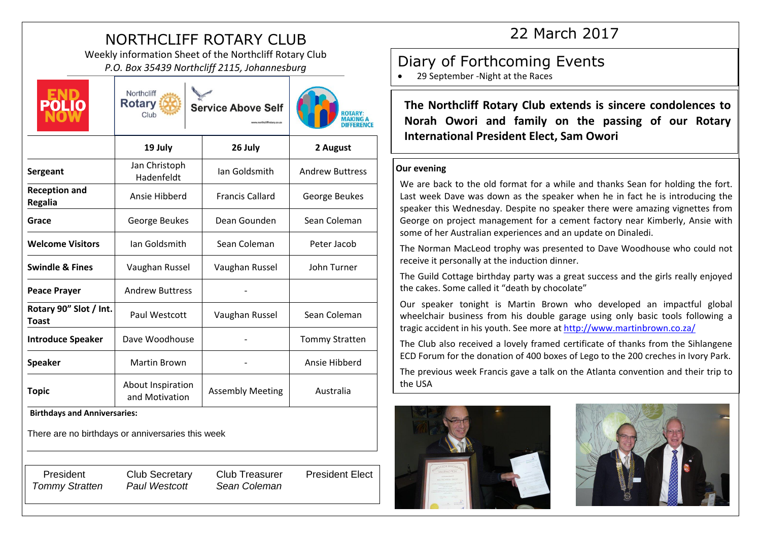# NORTHCLIFF ROTARY CLUB

Weekly information Sheet of the Northcliff Rotary Club *P.O. Box 35439 Northcliff 2115, Johannesburg* and **P.O. Box 35439 Northcliff 2115**, Johannesburg **P.O. Box 35439 Northcliff 2115**, Johannesburg



Northcliff **Rotary** Service Above Self Club



|                                        | 19 July                             | 26 July                 | 2 August               |
|----------------------------------------|-------------------------------------|-------------------------|------------------------|
| Sergeant                               | Jan Christoph<br>Hadenfeldt         | Jan Goldsmith           | <b>Andrew Buttress</b> |
| <b>Reception and</b><br><b>Regalia</b> | Ansie Hibberd                       | <b>Francis Callard</b>  | George Beukes          |
| Grace                                  | George Beukes                       | Dean Gounden            | Sean Coleman           |
| <b>Welcome Visitors</b>                | Ian Goldsmith                       | Sean Coleman            | Peter Jacob            |
| <b>Swindle &amp; Fines</b>             | Vaughan Russel                      | Vaughan Russel          | John Turner            |
| <b>Peace Prayer</b>                    | <b>Andrew Buttress</b>              |                         |                        |
| Rotary 90" Slot / Int.<br>Toast        | Paul Westcott                       | Vaughan Russel          | Sean Coleman           |
| <b>Introduce Speaker</b>               | Dave Woodhouse                      |                         | <b>Tommy Stratten</b>  |
| <b>Speaker</b>                         | Martin Brown                        |                         | Ansie Hibberd          |
| <b>Topic</b>                           | About Inspiration<br>and Motivation | <b>Assembly Meeting</b> | Australia              |

**Birthdays and Anniversaries:** 

There are no birthdays or anniversaries this week

President Club Secretary Club Treasurer President Elect *Tommy Stratten Paul Westcott Sean Coleman* 

22 March 2017

29 September -Night at the Races

**The Northcliff Rotary Club extends is sincere condolences to Norah Owori and family on the passing of our Rotary International President Elect, Sam Owori**

#### **Our evening**

We are back to the old format for a while and thanks Sean for holding the fort. Last week Dave was down as the speaker when he in fact he is introducing the speaker this Wednesday. Despite no speaker there were amazing vignettes from George on project management for a cement factory near Kimberly, Ansie with some of her Australian experiences and an update on Dinaledi.

The Norman MacLeod trophy was presented to Dave Woodhouse who could not receive it personally at the induction dinner.

The Guild Cottage birthday party was a great success and the girls really enjoyed the cakes. Some called it "death by chocolate"

Our speaker tonight is Martin Brown who developed an impactful global wheelchair business from his double garage using only basic tools following a tragic accident in his youth. See more at<http://www.martinbrown.co.za/>

The Club also received a lovely framed certificate of thanks from the Sihlangene ECD Forum for the donation of 400 boxes of Lego to the 200 creches in Ivory Park.

The previous week Francis gave a talk on the Atlanta convention and their trip to the USA